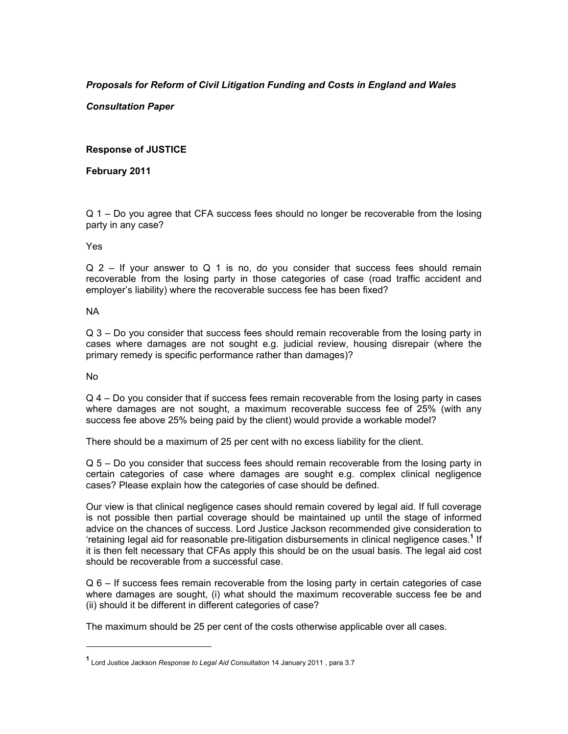# *Proposals for Reform of Civil Litigation Funding and Costs in England and Wales*

*Consultation Paper* 

# **Response of JUSTICE**

# **February 2011**

Q 1 – Do you agree that CFA success fees should no longer be recoverable from the losing party in any case?

## Yes

 $Q$  2 – If your answer to  $Q$  1 is no, do you consider that success fees should remain recoverable from the losing party in those categories of case (road traffic accident and employer's liability) where the recoverable success fee has been fixed?

## NA

Q 3 – Do you consider that success fees should remain recoverable from the losing party in cases where damages are not sought e.g. judicial review, housing disrepair (where the primary remedy is specific performance rather than damages)?

#### No

l

Q 4 – Do you consider that if success fees remain recoverable from the losing party in cases where damages are not sought, a maximum recoverable success fee of 25% (with any success fee above 25% being paid by the client) would provide a workable model?

There should be a maximum of 25 per cent with no excess liability for the client.

Q 5 – Do you consider that success fees should remain recoverable from the losing party in certain categories of case where damages are sought e.g. complex clinical negligence cases? Please explain how the categories of case should be defined.

Our view is that clinical negligence cases should remain covered by legal aid. If full coverage is not possible then partial coverage should be maintained up until the stage of informed advice on the chances of success. Lord Justice Jackson recommended give consideration to 'retaining legal aid for reasonable pre-litigation disbursements in clinical negligence cases.**<sup>1</sup>** If it is then felt necessary that CFAs apply this should be on the usual basis. The legal aid cost should be recoverable from a successful case.

Q 6 – If success fees remain recoverable from the losing party in certain categories of case where damages are sought, (i) what should the maximum recoverable success fee be and (ii) should it be different in different categories of case?

The maximum should be 25 per cent of the costs otherwise applicable over all cases.

**<sup>1</sup>** Lord Justice Jackson *Response to Legal Aid Consultation* 14 January 2011 , para 3.7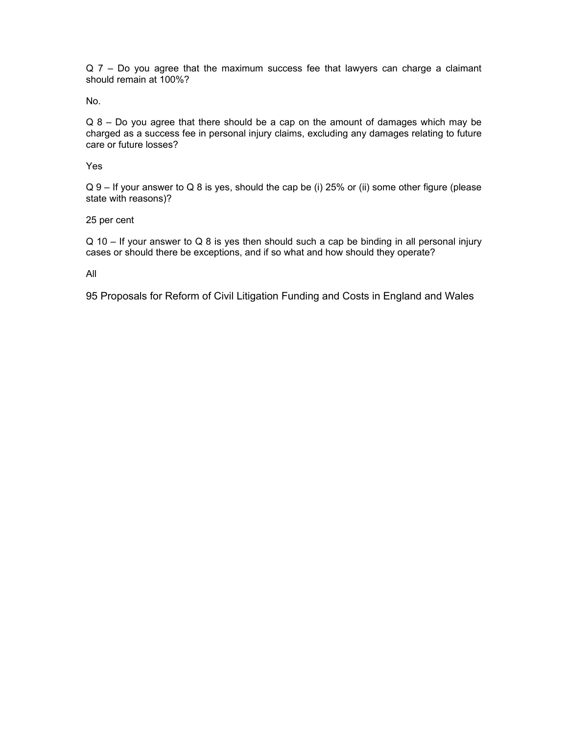Q 7 – Do you agree that the maximum success fee that lawyers can charge a claimant should remain at 100%?

No.

Q 8 – Do you agree that there should be a cap on the amount of damages which may be charged as a success fee in personal injury claims, excluding any damages relating to future care or future losses?

Yes

Q 9 – If your answer to Q 8 is yes, should the cap be (i) 25% or (ii) some other figure (please state with reasons)?

25 per cent

 $Q$  10 – If your answer to Q 8 is yes then should such a cap be binding in all personal injury cases or should there be exceptions, and if so what and how should they operate?

All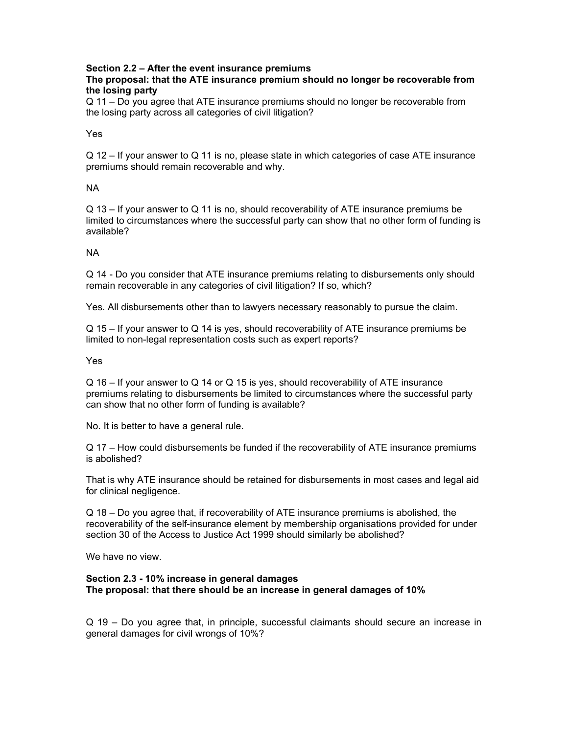# **Section 2.2 – After the event insurance premiums**

# **The proposal: that the ATE insurance premium should no longer be recoverable from the losing party**

Q 11 – Do you agree that ATE insurance premiums should no longer be recoverable from the losing party across all categories of civil litigation?

Yes

Q 12 – If your answer to Q 11 is no, please state in which categories of case ATE insurance premiums should remain recoverable and why.

# NA

Q 13 – If your answer to Q 11 is no, should recoverability of ATE insurance premiums be limited to circumstances where the successful party can show that no other form of funding is available?

## NA

Q 14 - Do you consider that ATE insurance premiums relating to disbursements only should remain recoverable in any categories of civil litigation? If so, which?

Yes. All disbursements other than to lawyers necessary reasonably to pursue the claim.

Q 15 – If your answer to Q 14 is yes, should recoverability of ATE insurance premiums be limited to non-legal representation costs such as expert reports?

Yes

Q 16 – If your answer to Q 14 or Q 15 is yes, should recoverability of ATE insurance premiums relating to disbursements be limited to circumstances where the successful party can show that no other form of funding is available?

No. It is better to have a general rule.

Q 17 – How could disbursements be funded if the recoverability of ATE insurance premiums is abolished?

That is why ATE insurance should be retained for disbursements in most cases and legal aid for clinical negligence.

Q 18 – Do you agree that, if recoverability of ATE insurance premiums is abolished, the recoverability of the self-insurance element by membership organisations provided for under section 30 of the Access to Justice Act 1999 should similarly be abolished?

We have no view.

#### **Section 2.3 - 10% increase in general damages The proposal: that there should be an increase in general damages of 10%**

Q 19 – Do you agree that, in principle, successful claimants should secure an increase in general damages for civil wrongs of 10%?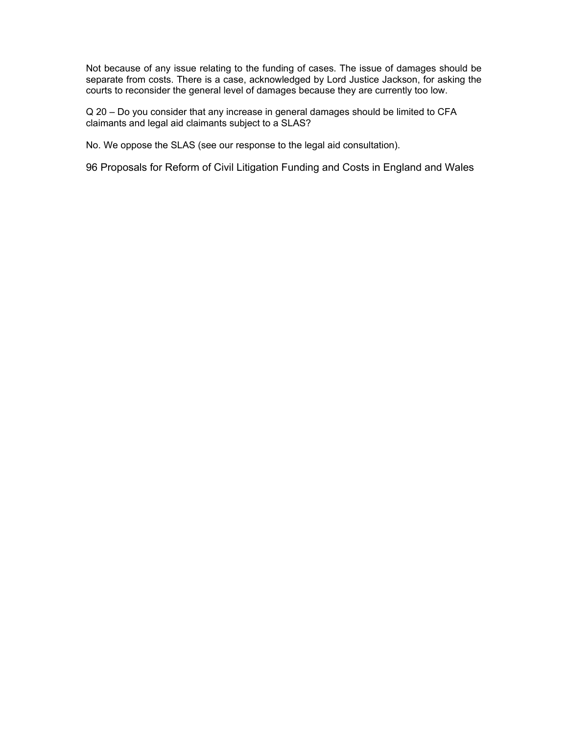Not because of any issue relating to the funding of cases. The issue of damages should be separate from costs. There is a case, acknowledged by Lord Justice Jackson, for asking the courts to reconsider the general level of damages because they are currently too low.

Q 20 – Do you consider that any increase in general damages should be limited to CFA claimants and legal aid claimants subject to a SLAS?

No. We oppose the SLAS (see our response to the legal aid consultation).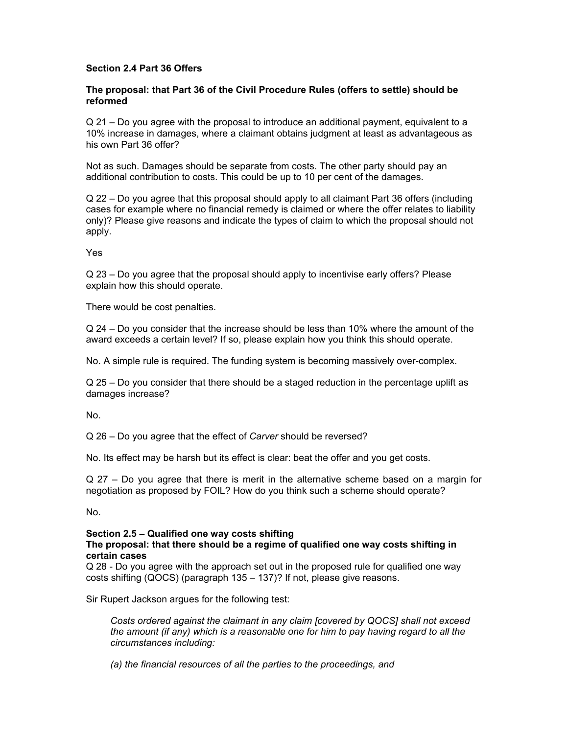# **Section 2.4 Part 36 Offers**

## **The proposal: that Part 36 of the Civil Procedure Rules (offers to settle) should be reformed**

Q 21 – Do you agree with the proposal to introduce an additional payment, equivalent to a 10% increase in damages, where a claimant obtains judgment at least as advantageous as his own Part 36 offer?

Not as such. Damages should be separate from costs. The other party should pay an additional contribution to costs. This could be up to 10 per cent of the damages.

Q 22 – Do you agree that this proposal should apply to all claimant Part 36 offers (including cases for example where no financial remedy is claimed or where the offer relates to liability only)? Please give reasons and indicate the types of claim to which the proposal should not apply.

Yes

Q 23 – Do you agree that the proposal should apply to incentivise early offers? Please explain how this should operate.

There would be cost penalties.

Q 24 – Do you consider that the increase should be less than 10% where the amount of the award exceeds a certain level? If so, please explain how you think this should operate.

No. A simple rule is required. The funding system is becoming massively over-complex.

Q 25 – Do you consider that there should be a staged reduction in the percentage uplift as damages increase?

No.

Q 26 – Do you agree that the effect of *Carver* should be reversed?

No. Its effect may be harsh but its effect is clear: beat the offer and you get costs.

Q 27 – Do you agree that there is merit in the alternative scheme based on a margin for negotiation as proposed by FOIL? How do you think such a scheme should operate?

No.

# **Section 2.5 – Qualified one way costs shifting**

#### **The proposal: that there should be a regime of qualified one way costs shifting in certain cases**

Q 28 - Do you agree with the approach set out in the proposed rule for qualified one way costs shifting (QOCS) (paragraph 135 – 137)? If not, please give reasons.

Sir Rupert Jackson argues for the following test:

*Costs ordered against the claimant in any claim [covered by QOCS] shall not exceed the amount (if any) which is a reasonable one for him to pay having regard to all the circumstances including:* 

*(a) the financial resources of all the parties to the proceedings, and*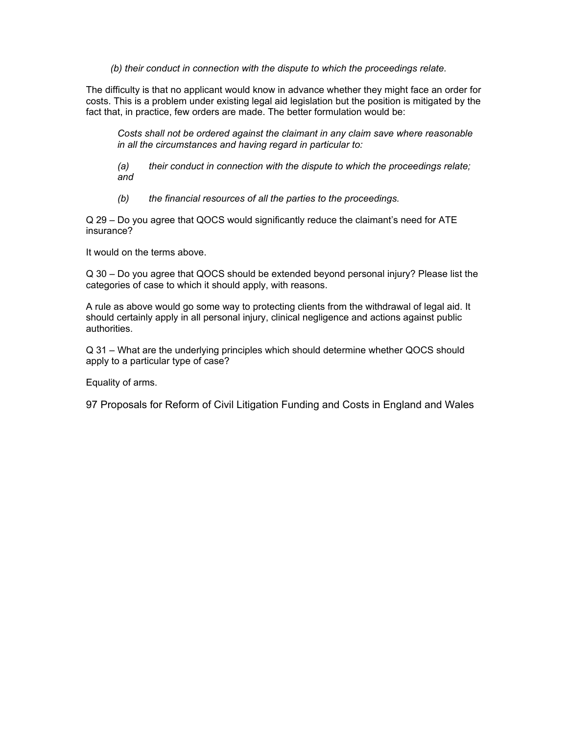*(b) their conduct in connection with the dispute to which the proceedings relate.* 

The difficulty is that no applicant would know in advance whether they might face an order for costs. This is a problem under existing legal aid legislation but the position is mitigated by the fact that, in practice, few orders are made. The better formulation would be:

*Costs shall not be ordered against the claimant in any claim save where reasonable in all the circumstances and having regard in particular to:* 

*(a) their conduct in connection with the dispute to which the proceedings relate; and* 

 *(b) the financial resources of all the parties to the proceedings.* 

Q 29 – Do you agree that QOCS would significantly reduce the claimant's need for ATE insurance?

It would on the terms above.

Q 30 – Do you agree that QOCS should be extended beyond personal injury? Please list the categories of case to which it should apply, with reasons.

A rule as above would go some way to protecting clients from the withdrawal of legal aid. It should certainly apply in all personal injury, clinical negligence and actions against public authorities.

Q 31 – What are the underlying principles which should determine whether QOCS should apply to a particular type of case?

Equality of arms.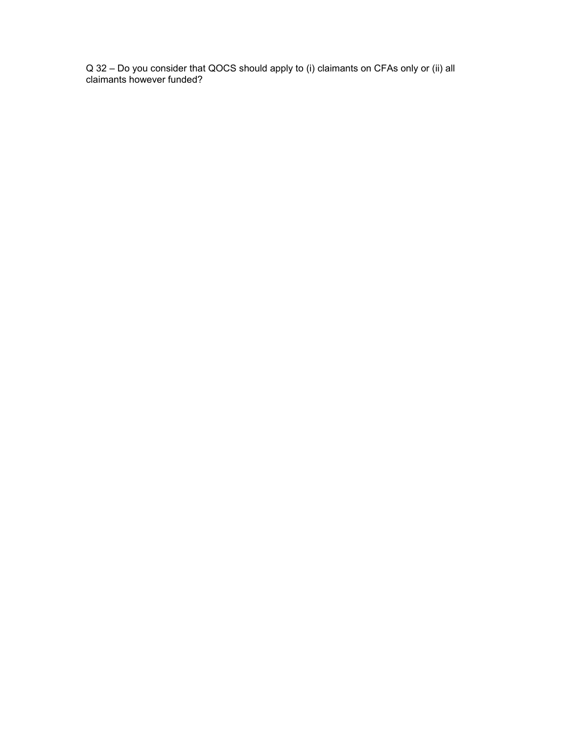Q 32 – Do you consider that QOCS should apply to (i) claimants on CFAs only or (ii) all claimants however funded?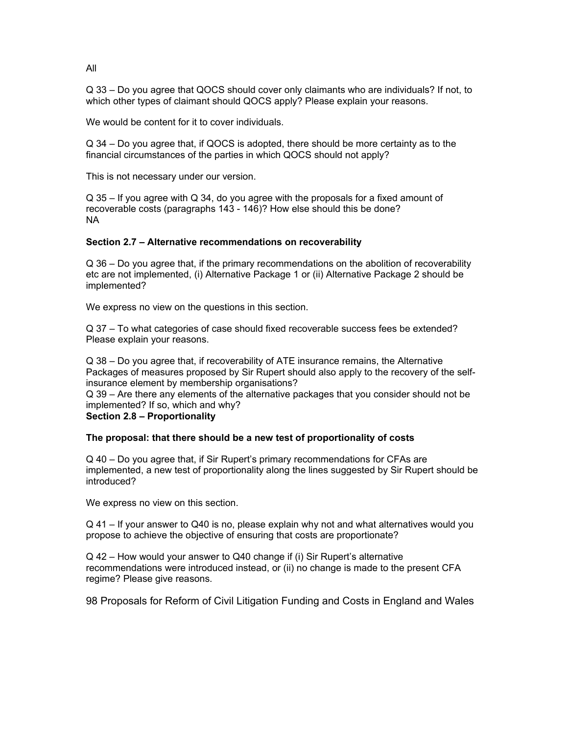Q 33 – Do you agree that QOCS should cover only claimants who are individuals? If not, to which other types of claimant should QOCS apply? Please explain your reasons.

We would be content for it to cover individuals.

Q 34 – Do you agree that, if QOCS is adopted, there should be more certainty as to the financial circumstances of the parties in which QOCS should not apply?

This is not necessary under our version.

Q 35 – If you agree with Q 34, do you agree with the proposals for a fixed amount of recoverable costs (paragraphs 143 - 146)? How else should this be done? NA

## **Section 2.7 – Alternative recommendations on recoverability**

Q 36 – Do you agree that, if the primary recommendations on the abolition of recoverability etc are not implemented, (i) Alternative Package 1 or (ii) Alternative Package 2 should be implemented?

We express no view on the questions in this section.

Q 37 – To what categories of case should fixed recoverable success fees be extended? Please explain your reasons.

Q 38 – Do you agree that, if recoverability of ATE insurance remains, the Alternative Packages of measures proposed by Sir Rupert should also apply to the recovery of the selfinsurance element by membership organisations?

Q 39 – Are there any elements of the alternative packages that you consider should not be implemented? If so, which and why?

#### **Section 2.8 – Proportionality**

#### **The proposal: that there should be a new test of proportionality of costs**

Q 40 – Do you agree that, if Sir Rupert's primary recommendations for CFAs are implemented, a new test of proportionality along the lines suggested by Sir Rupert should be introduced?

We express no view on this section.

Q 41 – If your answer to Q40 is no, please explain why not and what alternatives would you propose to achieve the objective of ensuring that costs are proportionate?

Q 42 – How would your answer to Q40 change if (i) Sir Rupert's alternative recommendations were introduced instead, or (ii) no change is made to the present CFA regime? Please give reasons.

98 Proposals for Reform of Civil Litigation Funding and Costs in England and Wales

All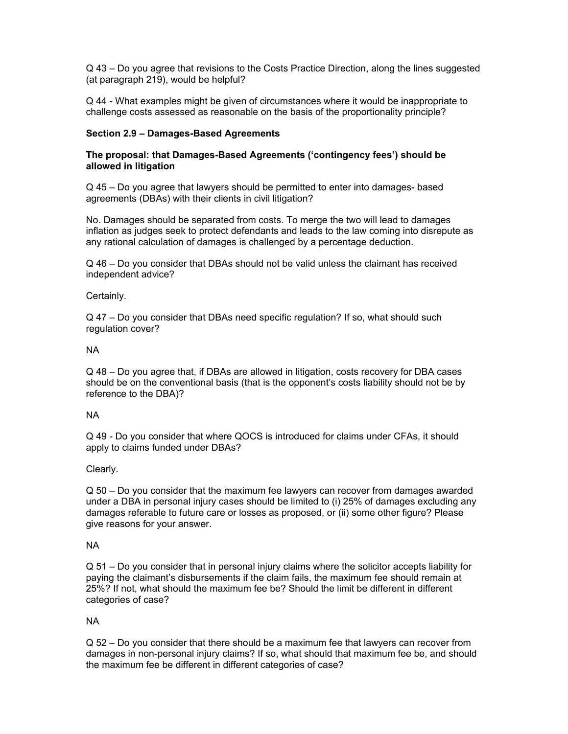Q 43 – Do you agree that revisions to the Costs Practice Direction, along the lines suggested (at paragraph 219), would be helpful?

Q 44 - What examples might be given of circumstances where it would be inappropriate to challenge costs assessed as reasonable on the basis of the proportionality principle?

#### **Section 2.9 – Damages-Based Agreements**

# **The proposal: that Damages-Based Agreements ('contingency fees') should be allowed in litigation**

Q 45 – Do you agree that lawyers should be permitted to enter into damages- based agreements (DBAs) with their clients in civil litigation?

No. Damages should be separated from costs. To merge the two will lead to damages inflation as judges seek to protect defendants and leads to the law coming into disrepute as any rational calculation of damages is challenged by a percentage deduction.

Q 46 – Do you consider that DBAs should not be valid unless the claimant has received independent advice?

## Certainly.

Q 47 – Do you consider that DBAs need specific regulation? If so, what should such regulation cover?

## NA

Q 48 – Do you agree that, if DBAs are allowed in litigation, costs recovery for DBA cases should be on the conventional basis (that is the opponent's costs liability should not be by reference to the DBA)?

#### NA

Q 49 - Do you consider that where QOCS is introduced for claims under CFAs, it should apply to claims funded under DBAs?

# Clearly.

Q 50 – Do you consider that the maximum fee lawyers can recover from damages awarded under a DBA in personal injury cases should be limited to (i) 25% of damages excluding any damages referable to future care or losses as proposed, or (ii) some other figure? Please give reasons for your answer.

# NA

Q 51 – Do you consider that in personal injury claims where the solicitor accepts liability for paying the claimant's disbursements if the claim fails, the maximum fee should remain at 25%? If not, what should the maximum fee be? Should the limit be different in different categories of case?

# NA

Q 52 – Do you consider that there should be a maximum fee that lawyers can recover from damages in non-personal injury claims? If so, what should that maximum fee be, and should the maximum fee be different in different categories of case?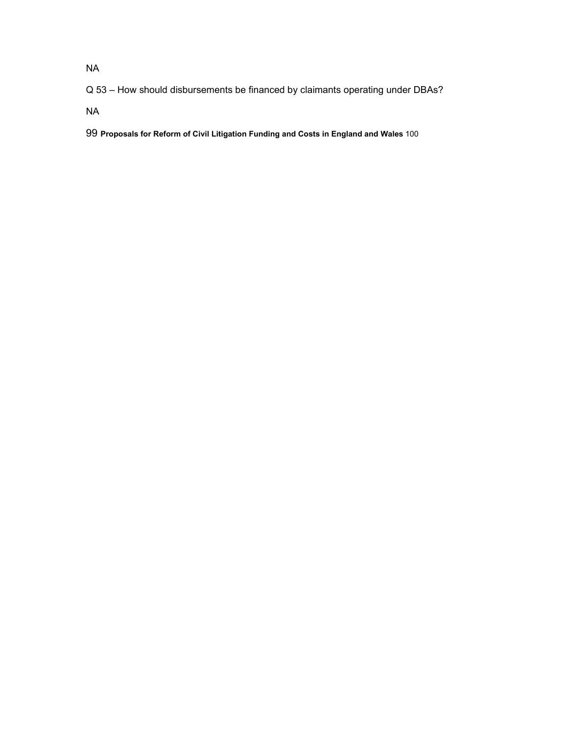NA

Q 53 – How should disbursements be financed by claimants operating under DBAs?

NA